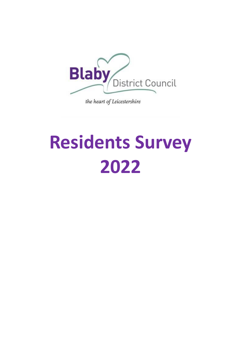

# **Residents Survey 2022**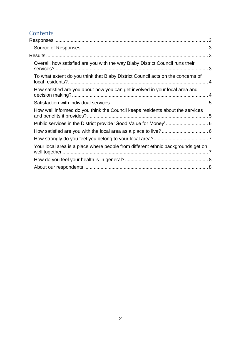### Contents<br>Responses

| Overall, how satisfied are you with the way Blaby District Council runs their    |  |
|----------------------------------------------------------------------------------|--|
| To what extent do you think that Blaby District Council acts on the concerns of  |  |
| How satisfied are you about how you can get involved in your local area and      |  |
|                                                                                  |  |
| How well informed do you think the Council keeps residents about the services    |  |
|                                                                                  |  |
|                                                                                  |  |
|                                                                                  |  |
| Your local area is a place where people from different ethnic backgrounds get on |  |
|                                                                                  |  |
|                                                                                  |  |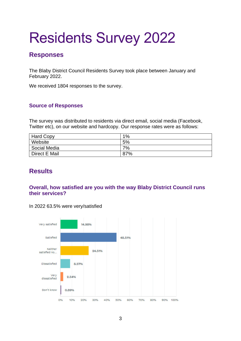## Residents Survey 2022

#### <span id="page-2-0"></span>**Responses**

The Blaby District Council Residents Survey took place between January and February 2022.

We received 1804 responses to the survey.

#### <span id="page-2-1"></span>**Source of Responses**

The survey was distributed to residents via direct email, social media (Facebook, Twitter etc), on our website and hardcopy. Our response rates were as follows:

| <b>Hard Copy</b> | 1%  |
|------------------|-----|
| Website          | 5%  |
| Social Media     | 7%  |
| Direct E Mail    | 87% |

#### <span id="page-2-2"></span>**Results**

#### <span id="page-2-3"></span>**Overall, how satisfied are you with the way Blaby District Council runs their services?**



In 2022 63.5% were very/satisfied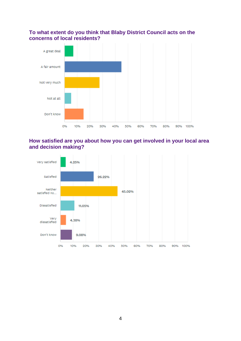#### <span id="page-3-0"></span>**To what extent do you think that Blaby District Council acts on the concerns of local residents?**



#### <span id="page-3-1"></span>**How satisfied are you about how you can get involved in your local area and decision making?**

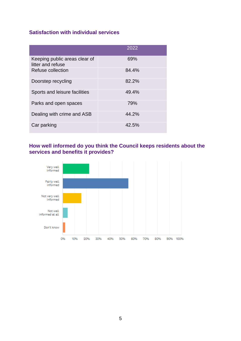#### <span id="page-4-0"></span>**Satisfaction with individual services**

|                                                    | 2022  |
|----------------------------------------------------|-------|
| Keeping public areas clear of<br>litter and refuse | 69%   |
| Refuse collection                                  | 84.4% |
| Doorstep recycling                                 | 82.2% |
| Sports and leisure facilities                      | 49.4% |
| Parks and open spaces                              | 79%   |
| Dealing with crime and ASB                         | 44.2% |
| Car parking                                        | 42.5% |

<span id="page-4-1"></span>**How well informed do you think the Council keeps residents about the services and benefits it provides?**

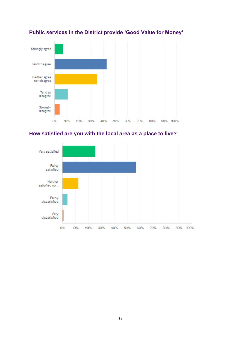

#### <span id="page-5-0"></span>**Public services in the District provide 'Good Value for Money'**

<span id="page-5-1"></span>

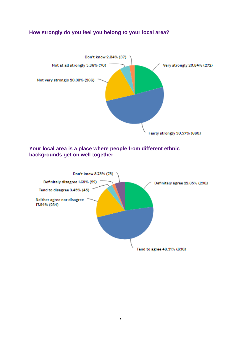#### <span id="page-6-0"></span>**How strongly do you feel you belong to your local area?**



#### <span id="page-6-1"></span>**Your local area is a place where people from different ethnic backgrounds get on well together**